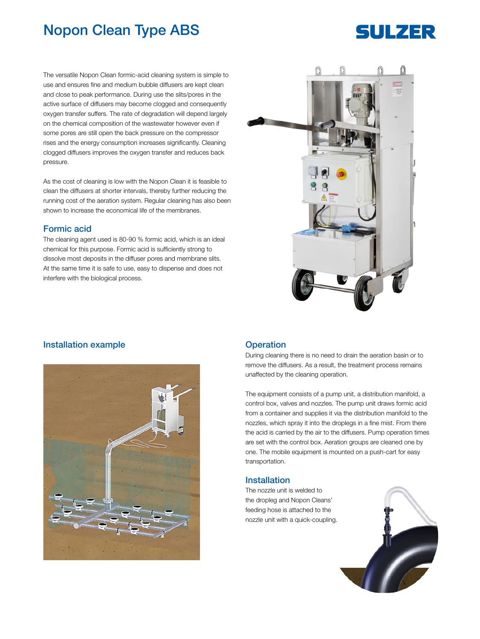# Nopon Clean Type ABS

### The versatile Nopon Clean formic-acid cleaning system is simple to use and ensures fine and medium bubble diffusers are kept clean and close to peak performance. During use the slits/pores in the active surface of diffusers may become clogged and consequently oxygen transfer suffers. The rate of degradation will depend largely on the chemical composition of the wastewater however even if some pores are still open the back pressure on the compressor rises and the energy consumption increases significantly. Cleaning clogged diffusers improves the oxygen transfer and reduces back pressure.

As the cost of cleaning is low with the Nopon Clean it is feasible to clean the diffusers at shorter intervals, thereby further reducing the running cost of the aeration system. Regular cleaning has also been shown to increase the economical life of the membranes.

### Formic acid

The cleaning agent used is 80-90 % formic acid, which is an ideal chemical for this purpose. Formic acid is sufficiently strong to dissolve most deposits in the diffuser pores and membrane slits. At the same time it is safe to use, easy to dispense and does not interfere with the biological process.



## Installation example **Operation**



During cleaning there is no need to drain the aeration basin or to remove the diffusers. As a result, the treatment process remains unaffected by the cleaning operation.

The equipment consists of a pump unit, a distribution manifold, a control box, valves and nozzles. The pump unit draws formic acid from a container and supplies it via the distribution manifold to the nozzles, which spray it into the droplegs in a fine mist. From there the acid is carried by the air to the diffusers. Pump operation times are set with the control box. Aeration groups are cleaned one by one. The mobile equipment is mounted on a push-cart for easy transportation.

### Installation

The nozzle unit is welded to the dropleg and Nopon Cleans' feeding hose is attached to the nozzle unit with a quick-coupling.